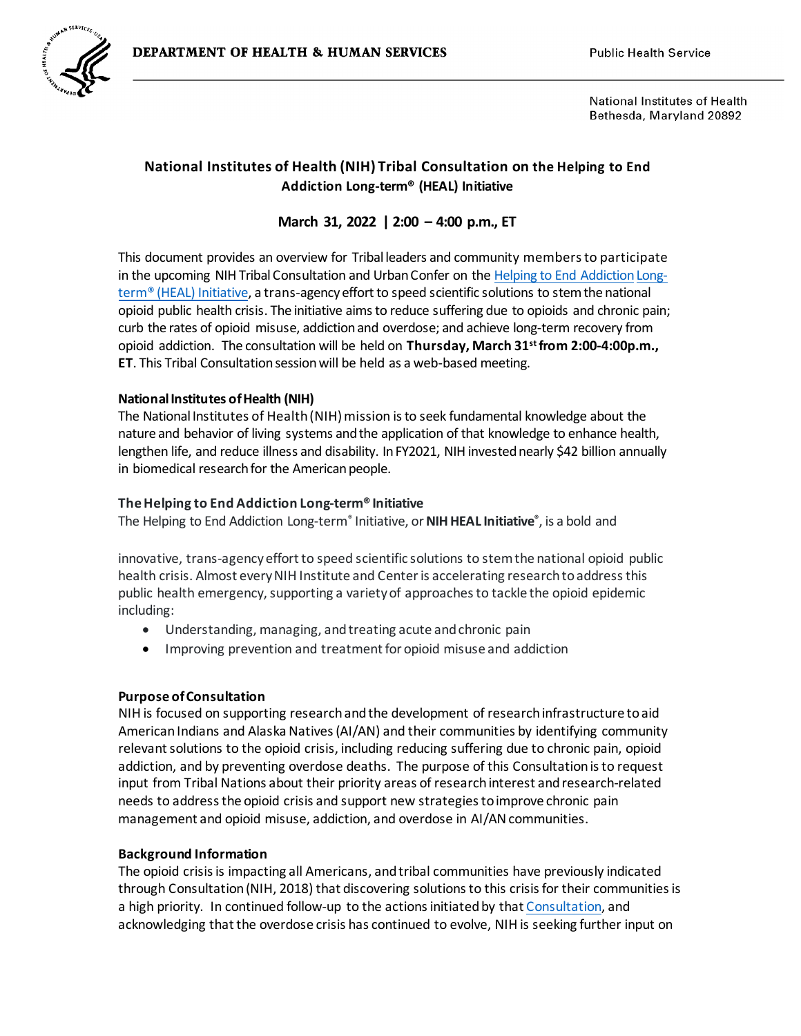

National Institutes of Health Bethesda, Maryland 20892

# **National Institutes of Health (NIH) Tribal Consultation on the Helping to End Addiction Long-term® (HEAL) Initiative**

## **March 31, 2022 | 2:00 – 4:00 p.m., ET**

This document provides an overview for Tribal leaders and community members to participate in the upcoming NIH TribalConsultation and Urban Confer on the Helping to [End Addiction Long](https://heal.nih.gov/)[term® \(HEAL\)](https://heal.nih.gov/) Initiative, a trans-agency effort to speed scientific solutions to stem the national opioid public health crisis. The initiative aimsto reduce suffering due to opioids and chronic pain; curb the rates of opioid misuse, addiction and overdose; and achieve long-term recovery from opioid addiction. The consultation will be held on **Thursday, March 31 st from 2:00-4:00p.m., ET**. This Tribal Consultation session will be held as a web-based meeting.

### **National Institutes of Health (NIH)**

The National Institutes of Health (NIH) mission isto seek fundamental knowledge about the nature and behavior of living systems and the application of that knowledge to enhance health, lengthen life, and reduce illness and disability. In FY2021, NIH invested nearly \$42 billion annually in biomedical research for the American people.

#### **The Helping to End Addiction Long-term® Initiative**

The Helping to End Addiction Long-term® Initiative, or**NIH HEAL Initiative®** , is a bold and

innovative, trans-agency effort to speed scientific solutions to stem the national opioid public health crisis. Almost every NIH Institute and Center is accelerating research to address this public health emergency, supporting a variety of approaches to tackle the opioid epidemic including:

- Understanding, managing, and treating acute and chronic pain
- Improving prevention and treatment for opioid misuse and addiction

#### **Purpose of Consultation**

NIH is focused on supporting research and the development of research infrastructure toaid American Indians and Alaska Natives (AI/AN) and their communities by identifying community relevant solutions to the opioid crisis, including reducing suffering due to chronic pain, opioid addiction, and by preventing overdose deaths. The purpose of this Consultation is to request input from Tribal Nations about their priority areas of research interest and research-related needs to address the opioid crisis and support new strategies toimprove chronic pain management and opioid misuse, addiction, and overdose in AI/AN communities.

#### **Background Information**

The opioid crisis is impacting all Americans, and tribal communities have previously indicated through Consultation (NIH, 2018) that discovering solutions to this crisis for their communities is a high priority. In continued follow-up to the actions initiated by that [Consultation](https://dpcpsi.nih.gov/thro/nih-tribal-consultation-opioid-crisis-indian-country), and acknowledging that the overdose crisis has continued to evolve, NIH is seeking further input on